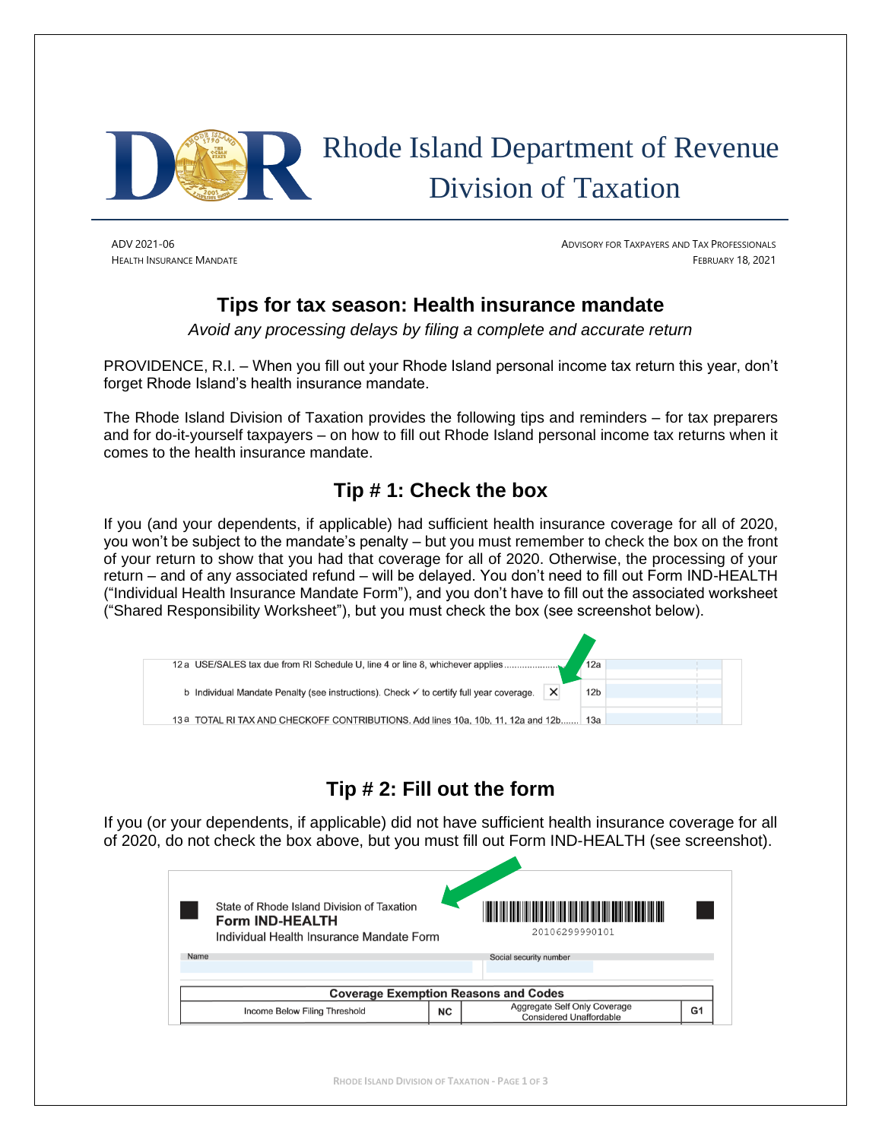

# Rhode Island Department of Revenue Division of Taxation

ADV 2021-06 ADVISORY FOR TAXPAYERS AND TAX PROFESSIONALS HEALTH INSURANCE MANDATE FEBRUARY 18, 2021

### **Tips for tax season: Health insurance mandate**

*Avoid any processing delays by filing a complete and accurate return*

PROVIDENCE, R.I. – When you fill out your Rhode Island personal income tax return this year, don't forget Rhode Island's health insurance mandate.

The Rhode Island Division of Taxation provides the following tips and reminders – for tax preparers and for do-it-yourself taxpayers – on how to fill out Rhode Island personal income tax returns when it comes to the health insurance mandate.

## **Tip # 1: Check the box**

If you (and your dependents, if applicable) had sufficient health insurance coverage for all of 2020, you won't be subject to the mandate's penalty – but you must remember to check the box on the front of your return to show that you had that coverage for all of 2020. Otherwise, the processing of your return – and of any associated refund – will be delayed. You don't need to fill out Form IND-HEALTH ("Individual Health Insurance Mandate Form"), and you don't have to fill out the associated worksheet ("Shared Responsibility Worksheet"), but you must check the box (see screenshot below).



# **Tip # 2: Fill out the form**

If you (or your dependents, if applicable) did not have sufficient health insurance coverage for all of 2020, do not check the box above, but you must fill out Form IND-HEALTH (see screenshot).

| Name<br>Social security number<br><b>Coverage Exemption Reasons and Codes</b><br>Aggregate Self Only Coverage<br>G1 | State of Rhode Island Division of Taxation<br><b>Form IND-HEALTH</b><br>Individual Health Insurance Mandate Form |    | <u> III de la contrada de la contrada de la contrada de la contrada de la con</u><br>20106299990101 |  |
|---------------------------------------------------------------------------------------------------------------------|------------------------------------------------------------------------------------------------------------------|----|-----------------------------------------------------------------------------------------------------|--|
|                                                                                                                     |                                                                                                                  |    |                                                                                                     |  |
|                                                                                                                     |                                                                                                                  |    |                                                                                                     |  |
|                                                                                                                     |                                                                                                                  |    |                                                                                                     |  |
|                                                                                                                     |                                                                                                                  |    |                                                                                                     |  |
|                                                                                                                     | Income Below Filing Threshold                                                                                    | ΝC | <b>Considered Unaffordable</b>                                                                      |  |

**RHODE ISLAND DIVISION OF TAXATION - PAGE 1 OF 3**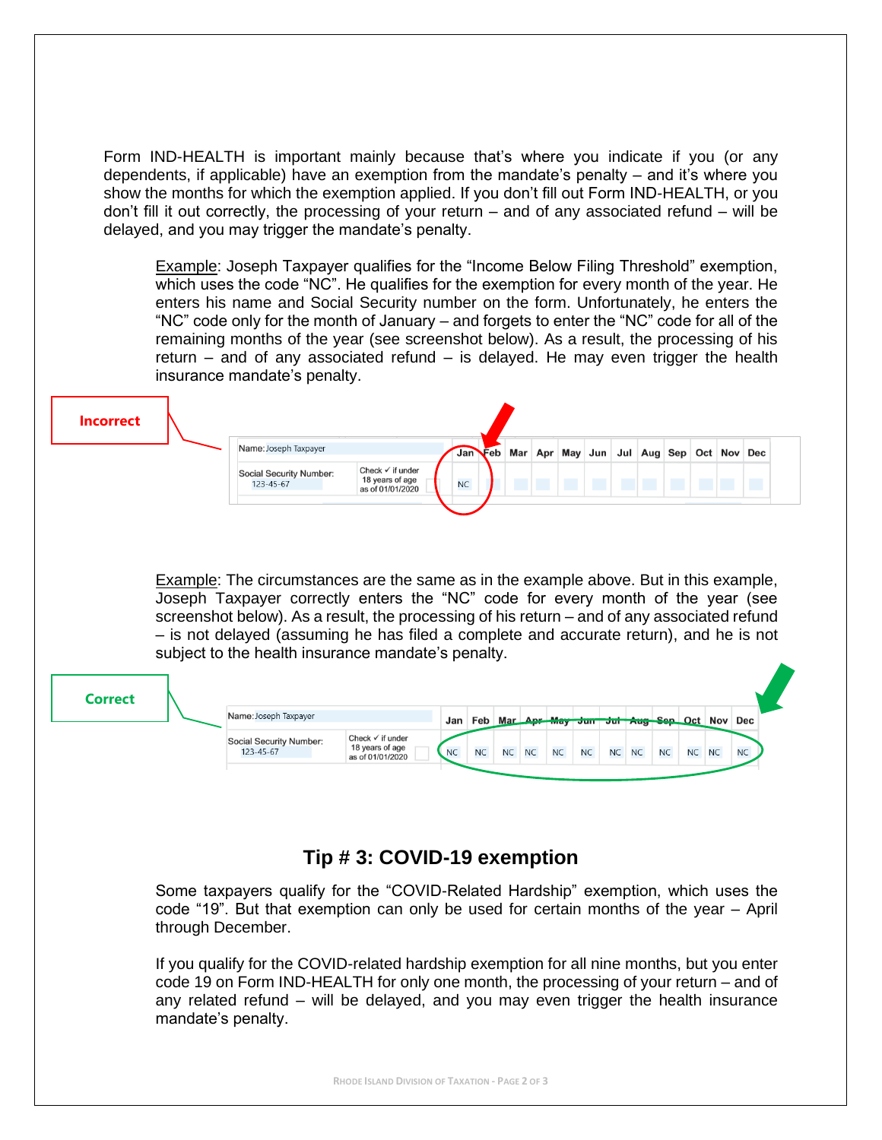Form IND-HEALTH is important mainly because that's where you indicate if you (or any dependents, if applicable) have an exemption from the mandate's penalty – and it's where you show the months for which the exemption applied. If you don't fill out Form IND-HEALTH, or you don't fill it out correctly, the processing of your return – and of any associated refund – will be delayed, and you may trigger the mandate's penalty.

Example: Joseph Taxpayer qualifies for the "Income Below Filing Threshold" exemption, which uses the code "NC". He qualifies for the exemption for every month of the year. He enters his name and Social Security number on the form. Unfortunately, he enters the "NC" code only for the month of January – and forgets to enter the "NC" code for all of the remaining months of the year (see screenshot below). As a result, the processing of his return – and of any associated refund – is delayed. He may even trigger the health insurance mandate's penalty.

| <b>Incorrect</b> |                                      |                                                                    |                                                 |  |  |  |  |  |  |
|------------------|--------------------------------------|--------------------------------------------------------------------|-------------------------------------------------|--|--|--|--|--|--|
|                  | Name: Joseph Taxpayer                |                                                                    | Jan Feb Mar Apr May Jun Jul Aug Sep Oct Nov Dec |  |  |  |  |  |  |
|                  | Social Security Number:<br>123-45-67 | Check $\checkmark$ if under<br>18 years of age<br>as of 01/01/2020 | <b>NC</b>                                       |  |  |  |  |  |  |
|                  |                                      |                                                                    |                                                 |  |  |  |  |  |  |

Example: The circumstances are the same as in the example above. But in this example, Joseph Taxpayer correctly enters the "NC" code for every month of the year (see screenshot below). As a result, the processing of his return – and of any associated refund – is not delayed (assuming he has filed a complete and accurate return), and he is not subject to the health insurance mandate's penalty.

| <b>Correct</b> |                                      |                                                                    |           |           |    |           |           |           |                                             |           |           |           |           |
|----------------|--------------------------------------|--------------------------------------------------------------------|-----------|-----------|----|-----------|-----------|-----------|---------------------------------------------|-----------|-----------|-----------|-----------|
|                | Name: Joseph Taxpayer                |                                                                    | Jan       |           |    |           |           |           | Feb Mar Apr May Jun Jul Aug Sep Oct Nov Dec |           |           |           |           |
|                | Social Security Number:<br>123-45-67 | Check $\checkmark$ if under<br>18 years of age<br>as of 01/01/2020 | <b>NC</b> | <b>NC</b> | NC | <b>NC</b> | <b>NC</b> | <b>NC</b> | NC NC                                       | <b>NC</b> | <b>NC</b> | <b>NC</b> | <b>NC</b> |

#### **Tip # 3: COVID-19 exemption**

Some taxpayers qualify for the "COVID-Related Hardship" exemption, which uses the code "19". But that exemption can only be used for certain months of the year – April through December.

If you qualify for the COVID-related hardship exemption for all nine months, but you enter code 19 on Form IND-HEALTH for only one month, the processing of your return – and of any related refund – will be delayed, and you may even trigger the health insurance mandate's penalty.